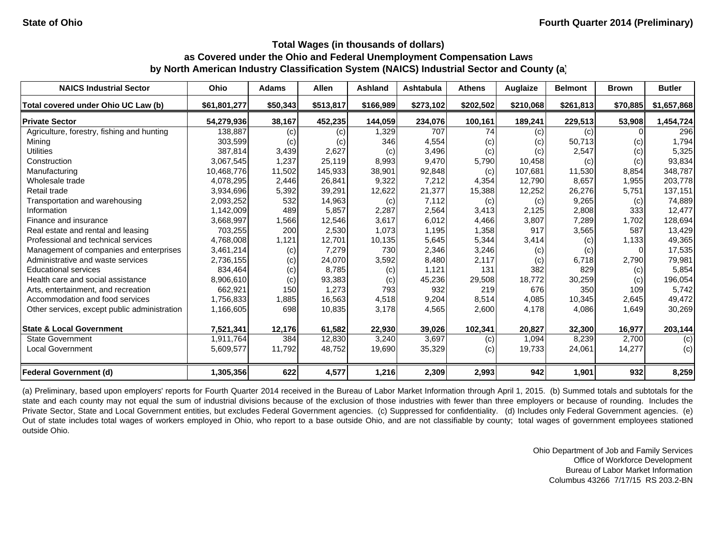| <b>NAICS Industrial Sector</b>               | Ohio         | <b>Adams</b> | <b>Allen</b> | <b>Ashland</b> | <b>Ashtabula</b> | <b>Athens</b> | Auglaize  | <b>Belmont</b> | <b>Brown</b>               | <b>Butler</b> |
|----------------------------------------------|--------------|--------------|--------------|----------------|------------------|---------------|-----------|----------------|----------------------------|---------------|
| Total covered under Ohio UC Law (b)          | \$61,801,277 | \$50,343     | \$513,817    | \$166,989      | \$273,102        | \$202,502     | \$210,068 | \$261,813      | \$70,885                   | \$1,657,868   |
| <b>Private Sector</b>                        | 54,279,936   | 38,167       | 452,235      | 144,059        | 234,076          | 100,161       | 189,241   | 229,513        | 53,908                     | 1,454,724     |
| Agriculture, forestry, fishing and hunting   | 138,887      | (c)          | (c)          | 1,329          | 707              | 74            | (c)       | (c)            |                            | 296           |
| Mining                                       | 303,599      | (c)          | (c)          | 346            | 4,554            | (c)           | (c)       | 50,713         | $\left( \mathrm{c}\right)$ | 1,794         |
| <b>Utilities</b>                             | 387,814      | 3,439        | 2,627        | (c)            | 3,496            | (c)           | (c)       | 2,547          | (c)                        | 5,325         |
| Construction                                 | 3,067,545    | 1,237        | 25,119       | 8,993          | 9,470            | 5,790         | 10,458    | (c)            | (c)                        | 93,834        |
| Manufacturing                                | 10,468,776   | 11,502       | 145,933      | 38,901         | 92,848           | (c)           | 107,681   | 11,530         | 8,854                      | 348,787       |
| Wholesale trade                              | 4,078,295    | 2,446        | 26,841       | 9,322          | 7,212            | 4,354         | 12,790    | 8,657          | 1,955                      | 203,778       |
| Retail trade                                 | 3,934,696    | 5,392        | 39,291       | 12,622         | 21,377           | 15,388        | 12,252    | 26,276         | 5,751                      | 137,151       |
| Transportation and warehousing               | 2,093,252    | 532          | 14,963       | (c)            | 7,112            | (c)           | (c)       | 9,265          | (c)                        | 74,889        |
| Information                                  | 1,142,009    | 489          | 5,857        | 2,287          | 2,564            | 3,413         | 2,125     | 2,808          | 333                        | 12,477        |
| Finance and insurance                        | 3,668,997    | 1,566        | 12,546       | 3,617          | 6,012            | 4,466         | 3,807     | 7,289          | 1,702                      | 128,694       |
| Real estate and rental and leasing           | 703,255      | 200          | 2,530        | 1,073          | 1,195            | 1,358         | 917       | 3,565          | 587                        | 13,429        |
| Professional and technical services          | 4,768,008    | 1,121        | 12,701       | 10,135         | 5,645            | 5,344         | 3,414     | (c)            | 1,133                      | 49,365        |
| Management of companies and enterprises      | 3,461,214    | (c)          | 7,279        | 730            | 2,346            | 3,246         | (c)       | (c)            |                            | 17,535        |
| Administrative and waste services            | 2,736,155    | (c)          | 24,070       | 3,592          | 8,480            | 2,117         | (c)       | 6.718          | 2,790                      | 79,981        |
| <b>Educational services</b>                  | 834,464      | (c)          | 8,785        | (c)            | 1,121            | 131           | 382       | 829            | (c)                        | 5,854         |
| Health care and social assistance            | 8,906,610    | (c)          | 93,383       | (c)            | 45,236           | 29,508        | 18,772    | 30,259         | (c)                        | 196,054       |
| Arts, entertainment, and recreation          | 662,921      | 150          | 1,273        | 793            | 932              | 219           | 676       | 350            | 109                        | 5,742         |
| Accommodation and food services              | 1,756,833    | 1,885        | 16,563       | 4,518          | 9,204            | 8,514         | 4,085     | 10,345         | 2,645                      | 49,472        |
| Other services, except public administration | 1,166,605    | 698          | 10,835       | 3,178          | 4,565            | 2,600         | 4,178     | 4,086          | 1,649                      | 30,269        |
| <b>State &amp; Local Government</b>          | 7,521,341    | 12,176       | 61,582       | 22,930         | 39,026           | 102,341       | 20,827    | 32,300         | 16,977                     | 203,144       |
| <b>State Government</b>                      | 1,911,764    | 384          | 12,830       | 3,240          | 3,697            | (c)           | 1,094     | 8,239          | 2,700                      | (c)           |
| <b>Local Government</b>                      | 5,609,577    | 11,792       | 48,752       | 19,690         | 35,329           | (c)           | 19,733    | 24,061         | 14,277                     | (c)           |
| <b>Federal Government (d)</b>                | 1,305,356    | 622          | 4,577        | 1,216          | 2,309            | 2,993         | 942       | 1,901          | 932                        | 8,259         |

(a) Preliminary, based upon employers' reports for Fourth Quarter 2014 received in the Bureau of Labor Market Information through April 1, 2015. (b) Summed totals and subtotals for the state and each county may not equal the sum of industrial divisions because of the exclusion of those industries with fewer than three employers or because of rounding. Includes the Private Sector, State and Local Government entities, but excludes Federal Government agencies. (c) Suppressed for confidentiality. (d) Includes only Federal Government agencies. (e) Out of state includes total wages of workers employed in Ohio, who report to <sup>a</sup> base outside Ohio, and are not classifiable by county; total wages of government employees stationed outside Ohio.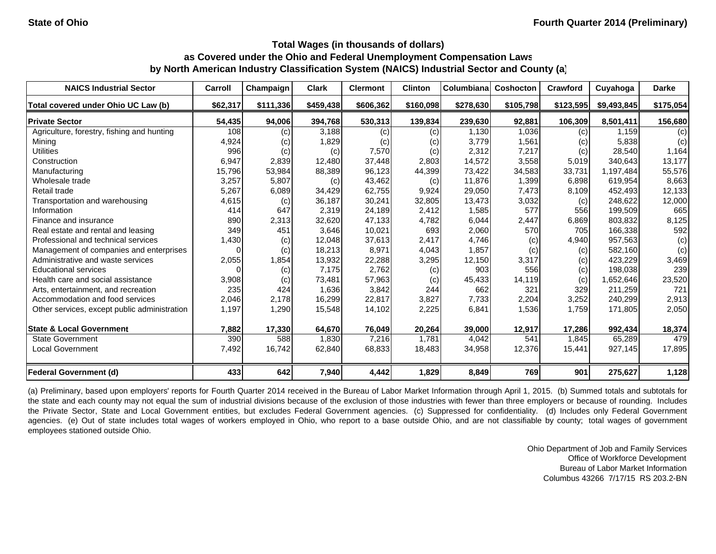| <b>NAICS Industrial Sector</b>               | Carroll  | Champaign | <b>Clark</b> | <b>Clermont</b> | <b>Clinton</b> | <b>Columbiana</b> | <b>Coshocton</b> | Crawford  | Cuyahoga    | <b>Darke</b> |
|----------------------------------------------|----------|-----------|--------------|-----------------|----------------|-------------------|------------------|-----------|-------------|--------------|
| Total covered under Ohio UC Law (b)          | \$62,317 | \$111,336 | \$459,438    | \$606,362       | \$160,098      | \$278,630         | \$105,798        | \$123,595 | \$9,493,845 | \$175,054    |
| <b>Private Sector</b>                        | 54,435   | 94,006    | 394,768      | 530,313         | 139,834        | 239,630           | 92,881           | 106,309   | 8,501,411   | 156,680      |
| Agriculture, forestry, fishing and hunting   | 108      | (c)       | 3,188        | (c)             | (c)            | 1,130             | 1,036            | (c)       | 1.159       | (c)          |
| Mining                                       | 4,924    | (c)       | 1,829        | (c)             | (c)            | 3,779             | 1,561            | (c)       | 5,838       | (c)          |
| <b>Utilities</b>                             | 996      | (c)       | (c)          | 7,570           | (c)            | 2,312             | 7,217            | (c)       | 28,540      | 1,164        |
| Construction                                 | 6,947    | 2,839     | 12,480       | 37,448          | 2,803          | 14,572            | 3,558            | 5,019     | 340,643     | 13,177       |
| Manufacturing                                | 15,796   | 53,984    | 88,389       | 96,123          | 44,399         | 73,422            | 34,583           | 33,731    | 1,197,484   | 55,576       |
| Wholesale trade                              | 3,257    | 5,807     | (c)          | 43,462          | (c)            | 11,876            | 1,399            | 6,898     | 619,954     | 8,663        |
| Retail trade                                 | 5,267    | 6,089     | 34,429       | 62,755          | 9,924          | 29,050            | 7,473            | 8,109     | 452,493     | 12,133       |
| Transportation and warehousing               | 4,615    | (c)       | 36,187       | 30,241          | 32,805         | 13,473            | 3,032            | (c)       | 248,622     | 12,000       |
| Information                                  | 414      | 647       | 2,319        | 24,189          | 2,412          | 1,585             | 577              | 556       | 199,509     | 665          |
| Finance and insurance                        | 890      | 2,313     | 32,620       | 47,133          | 4,782          | 6,044             | 2,447            | 6,869     | 803,832     | 8,125        |
| Real estate and rental and leasing           | 349      | 451       | 3,646        | 10,021          | 693            | 2,060             | 570              | 705       | 166,338     | 592          |
| Professional and technical services          | 1,430    | (c)       | 12,048       | 37,613          | 2,417          | 4,746             | (c)              | 4,940     | 957,563     | (c)          |
| Management of companies and enterprises      | 0        | (c)       | 18,213       | 8,971           | 4,043          | 1,857             | (c)              | (c)       | 582,160     | (c)          |
| Administrative and waste services            | 2,055    | 1,854     | 13,932       | 22,288          | 3,295          | 12,150            | 3,317            | (c)       | 423,229     | 3,469        |
| <b>Educational services</b>                  |          | (c)       | 7,175        | 2,762           | (c)            | 903               | 556              | (c)       | 198,038     | 239          |
| Health care and social assistance            | 3,908    | (c)       | 73,481       | 57,963          | (c)            | 45,433            | 14,119           | (c)       | 1,652,646   | 23,520       |
| Arts, entertainment, and recreation          | 235      | 424       | 1,636        | 3,842           | 244            | 662               | 321              | 329       | 211,259     | 721          |
| Accommodation and food services              | 2,046    | 2,178     | 16,299       | 22,817          | 3,827          | 7,733             | 2,204            | 3,252     | 240,299     | 2,913        |
| Other services, except public administration | 1,197    | 1,290     | 15,548       | 14,102          | 2,225          | 6,841             | 1,536            | 1,759     | 171,805     | 2,050        |
| <b>State &amp; Local Government</b>          | 7,882    | 17,330    | 64,670       | 76,049          | 20,264         | 39,000            | 12,917           | 17,286    | 992,434     | 18,374       |
| <b>State Government</b>                      | 390      | 588       | 1,830        | 7,216           | 1.781          | 4,042             | 541              | 1,845     | 65,289      | 479          |
| <b>Local Government</b>                      | 7,492    | 16,742    | 62,840       | 68,833          | 18,483         | 34,958            | 12,376           | 15,441    | 927,145     | 17,895       |
| <b>Federal Government (d)</b>                | 433      | 642       | 7,940        | 4,442           | 1,829          | 8,849             | 769              | 901       | 275,627     | 1,128        |

(a) Preliminary, based upon employers' reports for Fourth Quarter 2014 received in the Bureau of Labor Market Information through April 1, 2015. (b) Summed totals and subtotals for the state and each county may not equal the sum of industrial divisions because of the exclusion of those industries with fewer than three employers or because of rounding. Includes the Private Sector, State and Local Government entities, but excludes Federal Government agencies. (c) Suppressed for confidentiality. (d) Includes only Federal Government agencies. (e) Out of state includes total wages of workers employed in Ohio, who report to a base outside Ohio, and are not classifiable by county; total wages of government employees stationed outside Ohio.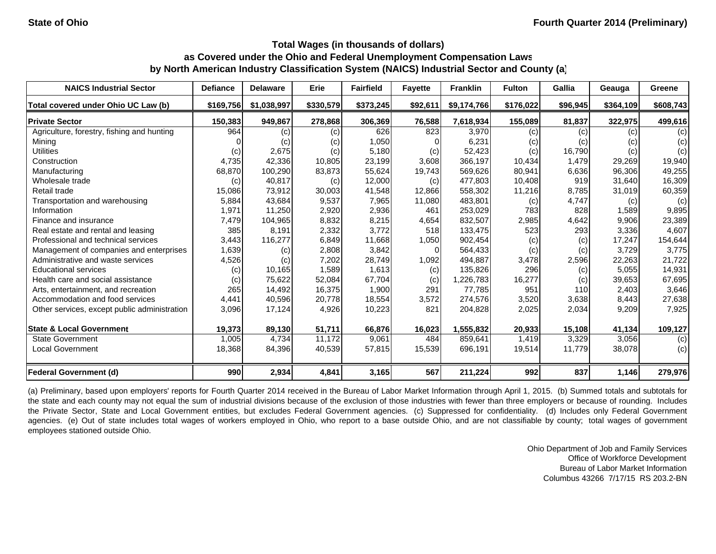| <b>NAICS Industrial Sector</b>               | <b>Defiance</b> | <b>Delaware</b> | Erie      | <b>Fairfield</b> | <b>Favette</b> | <b>Franklin</b> | <b>Fulton</b> | Gallia   | Geauga    | Greene    |
|----------------------------------------------|-----------------|-----------------|-----------|------------------|----------------|-----------------|---------------|----------|-----------|-----------|
| Total covered under Ohio UC Law (b)          | \$169,756       | \$1,038,997     | \$330,579 | \$373,245        | \$92,611       | \$9,174,766     | \$176.022     | \$96,945 | \$364,109 | \$608,743 |
| <b>Private Sector</b>                        | 150,383         | 949,867         | 278,868   | 306,369          | 76,588         | 7,618,934       | 155,089       | 81,837   | 322,975   | 499,616   |
| Agriculture, forestry, fishing and hunting   | 964             | (c)             | (c)       | 626              | 823            | 3,970           | (c)           | (c)      | (c)       | (c)       |
| Mining                                       |                 | (c)             | (c)       | 1,050            |                | 6,231           | (c)           | (c)      | (c)       | (c)       |
| <b>Utilities</b>                             | (c)             | 2,675           | (c)       | 5,180            | (c)            | 52,423          | (c)           | 16,790   | (c)       | (c)       |
| Construction                                 | 4,735           | 42,336          | 10,805    | 23,199           | 3,608          | 366,197         | 10,434        | 1.479    | 29.269    | 19,940    |
| Manufacturing                                | 68,870          | 100,290         | 83,873    | 55,624           | 19,743         | 569,626         | 80,941        | 6,636    | 96,306    | 49,255    |
| Wholesale trade                              | (c)             | 40,817          | (c)       | 12,000           | (c)            | 477,803         | 10,408        | 919      | 31,640    | 16,309    |
| Retail trade                                 | 15,086          | 73,912          | 30,003    | 41,548           | 12,866         | 558,302         | 11,216        | 8,785    | 31,019    | 60,359    |
| Transportation and warehousing               | 5,884           | 43,684          | 9,537     | 7,965            | 11,080         | 483,801         | (c)           | 4,747    | (c)       | (c)       |
| Information                                  | 1,971           | 11,250          | 2,920     | 2,936            | 461            | 253,029         | 783           | 828      | 1,589     | 9,895     |
| Finance and insurance                        | 7,479           | 104,965         | 8,832     | 8,215            | 4,654          | 832,507         | 2,985         | 4,642    | 9,906     | 23,389    |
| Real estate and rental and leasing           | 385             | 8,191           | 2,332     | 3,772            | 518            | 133,475         | 523           | 293      | 3,336     | 4,607     |
| Professional and technical services          | 3,443           | 116,277         | 6,849     | 11,668           | 1,050          | 902,454         | (c)           | (c)      | 17,247    | 154,644   |
| Management of companies and enterprises      | 1,639           | (c)             | 2,808     | 3,842            | $\Omega$       | 564,433         | (c)           | (c)      | 3.729     | 3,775     |
| Administrative and waste services            | 4,526           | (c)             | 7,202     | 28,749           | 1,092          | 494,887         | 3,478         | 2,596    | 22,263    | 21,722    |
| <b>Educational services</b>                  | (c)             | 10,165          | 1,589     | 1,613            | (c)            | 135,826         | 296           | (c)      | 5,055     | 14,931    |
| Health care and social assistance            | (c)             | 75,622          | 52,084    | 67,704           | (c)            | 1,226,783       | 16,277        | (c)      | 39,653    | 67,695    |
| Arts, entertainment, and recreation          | 265             | 14,492          | 16,375    | 1,900            | 291            | 77,785          | 951           | 110      | 2,403     | 3,646     |
| Accommodation and food services              | 4,441           | 40,596          | 20,778    | 18,554           | 3,572          | 274,576         | 3,520         | 3,638    | 8,443     | 27,638    |
| Other services, except public administration | 3,096           | 17,124          | 4,926     | 10,223           | 821            | 204,828         | 2,025         | 2,034    | 9,209     | 7,925     |
| <b>State &amp; Local Government</b>          | 19,373          | 89,130          | 51,711    | 66,876           | 16,023         | 1,555,832       | 20,933        | 15,108   | 41,134    | 109,127   |
| <b>State Government</b>                      | 1,005           | 4,734           | 11,172    | 9,061            | 484            | 859,641         | 1,419         | 3,329    | 3,056     | (c)       |
| <b>Local Government</b>                      | 18,368          | 84,396          | 40,539    | 57,815           | 15,539         | 696,191         | 19,514        | 11,779   | 38,078    | (c)       |
| Federal Government (d)                       | 990             | 2,934           | 4,841     | 3,165            | 567            | 211,224         | 992           | 837      | 1,146     | 279,976   |

(a) Preliminary, based upon employers' reports for Fourth Quarter 2014 received in the Bureau of Labor Market Information through April 1, 2015. (b) Summed totals and subtotals for the state and each county may not equal the sum of industrial divisions because of the exclusion of those industries with fewer than three employers or because of rounding. Includes the Private Sector, State and Local Government entities, but excludes Federal Government agencies. (c) Suppressed for confidentiality. (d) Includes only Federal Government agencies. (e) Out of state includes total wages of workers employed in Ohio, who report to a base outside Ohio, and are not classifiable by county; total wages of government employees stationed outside Ohio.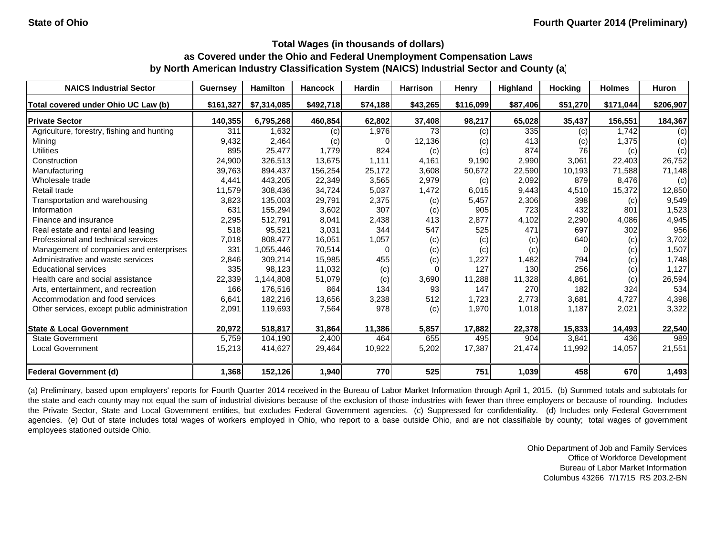| <b>NAICS Industrial Sector</b>               | <b>Guernsey</b> | <b>Hamilton</b> | <b>Hancock</b> | <b>Hardin</b> | <b>Harrison</b> | Henry     | <b>Highland</b> | <b>Hocking</b> | <b>Holmes</b> | Huron     |
|----------------------------------------------|-----------------|-----------------|----------------|---------------|-----------------|-----------|-----------------|----------------|---------------|-----------|
| Total covered under Ohio UC Law (b)          | \$161.327       | \$7,314,085     | \$492,718      | \$74,188      | \$43,265        | \$116,099 | \$87,406        | \$51,270       | \$171,044     | \$206,907 |
| <b>Private Sector</b>                        | 140,355         | 6,795,268       | 460,854        | 62,802        | 37,408          | 98,217    | 65,028          | 35,437         | 156,551       | 184,367   |
| Agriculture, forestry, fishing and hunting   | 311             | 1.632           | (c)            | 1,976         | 73              | (c)       | 335             | (c)            | 1.742         | (c)       |
| Mining                                       | 9,432           | 2,464           | (c)            |               | 12,136          | (c)       | 413             | (c)            | 1,375         | (c)       |
| Utilities                                    | 895             | 25,477          | 1,779          | 824           | (c)             | (c)       | 874             | 76             | (c)           | (c)       |
| Construction                                 | 24,900          | 326,513         | 13,675         | 1.111         | 4,161           | 9,190     | 2,990           | 3,061          | 22,403        | 26,752    |
| Manufacturing                                | 39,763          | 894,437         | 156,254        | 25,172        | 3,608           | 50,672    | 22,590          | 10,193         | 71,588        | 71,148    |
| Wholesale trade                              | 4,441           | 443,205         | 22,349         | 3,565         | 2,979           | (c)       | 2,092           | 879            | 8.476         | (c)       |
| Retail trade                                 | 11,579          | 308,436         | 34,724         | 5,037         | 1,472           | 6,015     | 9,443           | 4,510          | 15,372        | 12,850    |
| Transportation and warehousing               | 3,823           | 135,003         | 29,791         | 2,375         | (c)             | 5,457     | 2,306           | 398            | (c)           | 9,549     |
| Information                                  | 631             | 155,294         | 3,602          | 307           | (c)             | 905       | 723             | 432            | 801           | 1,523     |
| Finance and insurance                        | 2,295           | 512,791         | 8,041          | 2,438         | 413             | 2,877     | 4,102           | 2,290          | 4,086         | 4,945     |
| Real estate and rental and leasing           | 518             | 95,521          | 3,031          | 344           | 547             | 525       | 471             | 697            | 302           | 956       |
| Professional and technical services          | 7,018           | 808.477         | 16,051         | 1,057         | (c)             | (c)       | (c)             | 640            | (c)           | 3,702     |
| Management of companies and enterprises      | 331             | 1,055,446       | 70,514         |               | (c)             | (c)       | (c)             | 0              | (c)           | 1,507     |
| Administrative and waste services            | 2,846           | 309,214         | 15,985         | 455           | (c)             | 1,227     | 1,482           | 794            | (c)           | 1,748     |
| <b>Educational services</b>                  | 335             | 98,123          | 11,032         | (c)           |                 | 127       | 130             | 256            | (c)           | 1,127     |
| Health care and social assistance            | 22,339          | 1,144,808       | 51,079         | (c)           | 3,690           | 11,288    | 11,328          | 4,861          | (c)           | 26,594    |
| Arts, entertainment, and recreation          | 166             | 176,516         | 864            | 134           | 93              | 147       | 270             | 182            | 324           | 534       |
| Accommodation and food services              | 6,641           | 182,216         | 13,656         | 3,238         | 512             | 1,723     | 2,773           | 3,681          | 4,727         | 4,398     |
| Other services, except public administration | 2,091           | 119,693         | 7,564          | 978           | (c)             | 1,970     | 1,018           | 1,187          | 2,021         | 3,322     |
| <b>State &amp; Local Government</b>          | 20,972          | 518,817         | 31,864         | 11,386        | 5,857           | 17,882    | 22,378          | 15,833         | 14,493        | 22,540    |
| <b>State Government</b>                      | 5,759           | 104,190         | 2,400          | 464           | 655             | 495       | 904             | 3,841          | 436           | 989       |
| <b>Local Government</b>                      | 15,213          | 414,627         | 29,464         | 10,922        | 5,202           | 17,387    | 21,474          | 11,992         | 14,057        | 21,551    |
| Federal Government (d)                       | 1,368           | 152,126         | 1,940          | 770           | 525             | 751       | 1,039           | 458            | 670           | 1,493     |

(a) Preliminary, based upon employers' reports for Fourth Quarter 2014 received in the Bureau of Labor Market Information through April 1, 2015. (b) Summed totals and subtotals for the state and each county may not equal the sum of industrial divisions because of the exclusion of those industries with fewer than three employers or because of rounding. Includes the Private Sector, State and Local Government entities, but excludes Federal Government agencies. (c) Suppressed for confidentiality. (d) Includes only Federal Government agencies. (e) Out of state includes total wages of workers employed in Ohio, who report to a base outside Ohio, and are not classifiable by county; total wages of government employees stationed outside Ohio.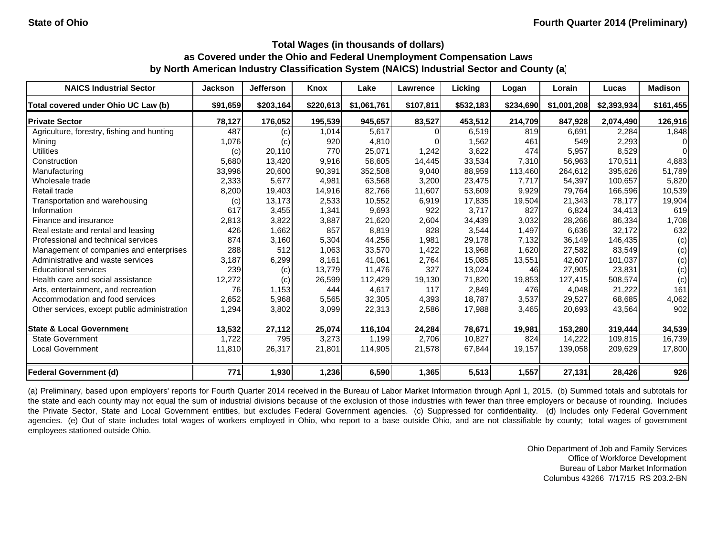| <b>NAICS Industrial Sector</b>               | <b>Jackson</b> | Jefferson | Knox      | Lake        | <b>Lawrence</b> | Licking   | Logan             | Lorain      | Lucas       | <b>Madison</b> |
|----------------------------------------------|----------------|-----------|-----------|-------------|-----------------|-----------|-------------------|-------------|-------------|----------------|
| Total covered under Ohio UC Law (b)          | \$91,659       | \$203,164 | \$220,613 | \$1,061,761 | \$107,811       | \$532,183 | \$234,690         | \$1,001,208 | \$2,393,934 | \$161,455      |
| <b>Private Sector</b>                        | 78,127         | 176,052   | 195,539   | 945,657     | 83,527          | 453,512   | 214,709           | 847,928     | 2,074,490   | 126,916        |
| Agriculture, forestry, fishing and hunting   | 487            | (c)       | 1,014     | 5,617       |                 | 6,519     | $\overline{8}$ 19 | 6,691       | 2,284       | 1,848          |
| Mining                                       | 1,076          | (c)       | 920       | 4,810       |                 | 1,562     | 461               | 549         | 2,293       | 0              |
| <b>Utilities</b>                             | (c)            | 20,110    | 770       | 25,071      | 1,242           | 3,622     | 474               | 5,957       | 8,529       | 0              |
| Construction                                 | 5,680          | 13,420    | 9,916     | 58.605      | 14,445          | 33,534    | 7.310             | 56.963      | 170.511     | 4,883          |
| Manufacturing                                | 33,996         | 20,600    | 90,391    | 352,508     | 9,040           | 88,959    | 113,460           | 264,612     | 395,626     | 51,789         |
| Wholesale trade                              | 2,333          | 5,677     | 4,981     | 63,568      | 3,200           | 23,475    | 7,717             | 54,397      | 100,657     | 5,820          |
| Retail trade                                 | 8,200          | 19,403    | 14,916    | 82,766      | 11,607          | 53,609    | 9,929             | 79,764      | 166,596     | 10,539         |
| Transportation and warehousing               | (c)            | 13,173    | 2,533     | 10,552      | 6,919           | 17,835    | 19,504            | 21,343      | 78,177      | 19,904         |
| Information                                  | 617            | 3,455     | 1,341     | 9,693       | 922             | 3,717     | 827               | 6,824       | 34,413      | 619            |
| Finance and insurance                        | 2,813          | 3,822     | 3,887     | 21,620      | 2,604           | 34,439    | 3,032             | 28,266      | 86,334      | 1,708          |
| Real estate and rental and leasing           | 426            | 1,662     | 857       | 8,819       | 828             | 3,544     | 1,497             | 6,636       | 32,172      | 632            |
| Professional and technical services          | 874            | 3,160     | 5,304     | 44,256      | 1,981           | 29,178    | 7,132             | 36.149      | 146,435     | (c)            |
| Management of companies and enterprises      | 288            | 512       | 1,063     | 33,570      | 1,422           | 13,968    | 1,620             | 27,582      | 83,549      | (c)            |
| Administrative and waste services            | 3,187          | 6,299     | 8,161     | 41,061      | 2,764           | 15,085    | 13,551            | 42.607      | 101,037     | (c)            |
| <b>Educational services</b>                  | 239            | (c)       | 13,779    | 11,476      | 327             | 13,024    | 46                | 27,905      | 23,831      | (c)            |
| Health care and social assistance            | 12,272         | (c)       | 26,599    | 112,429     | 19,130          | 71,820    | 19,853            | 127,415     | 508,574     | (c)            |
| Arts, entertainment, and recreation          | 76             | 1,153     | 444       | 4,617       | 117             | 2,849     | 476               | 4.048       | 21,222      | 161            |
| Accommodation and food services              | 2,652          | 5,968     | 5,565     | 32,305      | 4,393           | 18,787    | 3,537             | 29,527      | 68,685      | 4,062          |
| Other services, except public administration | 1,294          | 3,802     | 3,099     | 22,313      | 2,586           | 17,988    | 3,465             | 20,693      | 43,564      | 902            |
| <b>State &amp; Local Government</b>          | 13,532         | 27,112    | 25,074    | 116,104     | 24,284          | 78,671    | 19,981            | 153,280     | 319,444     | 34,539         |
| <b>State Government</b>                      | 1,722          | 795       | 3,273     | 1,199       | 2,706           | 10,827    | 824               | 14,222      | 109,815     | 16,739         |
| <b>Local Government</b>                      | 11,810         | 26,317    | 21,801    | 114,905     | 21,578          | 67,844    | 19,157            | 139,058     | 209,629     | 17,800         |
| <b>Federal Government (d)</b>                | 771            | 1,930     | 1,236     | 6,590       | 1,365           | 5,513     | 1,557             | 27,131      | 28,426      | 926            |

(a) Preliminary, based upon employers' reports for Fourth Quarter 2014 received in the Bureau of Labor Market Information through April 1, 2015. (b) Summed totals and subtotals for the state and each county may not equal the sum of industrial divisions because of the exclusion of those industries with fewer than three employers or because of rounding. Includes the Private Sector, State and Local Government entities, but excludes Federal Government agencies. (c) Suppressed for confidentiality. (d) Includes only Federal Government agencies. (e) Out of state includes total wages of workers employed in Ohio, who report to a base outside Ohio, and are not classifiable by county; total wages of government employees stationed outside Ohio.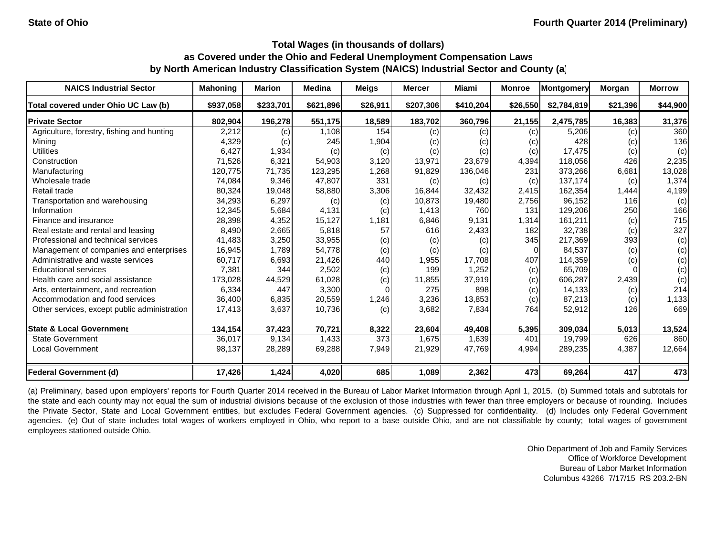| <b>NAICS Industrial Sector</b>               | <b>Mahoning</b> | <b>Marion</b> | <b>Medina</b> | <b>Meigs</b> | <b>Mercer</b> | Miami                      | <b>Monroe</b> | Montgomery  | Morgan   | <b>Morrow</b> |
|----------------------------------------------|-----------------|---------------|---------------|--------------|---------------|----------------------------|---------------|-------------|----------|---------------|
| Total covered under Ohio UC Law (b)          | \$937,058       | \$233,701     | \$621,896     | \$26,911     | \$207,306     | \$410,204                  | \$26,550      | \$2,784,819 | \$21,396 | \$44,900      |
| <b>Private Sector</b>                        | 802,904         | 196,278       | 551,175       | 18,589       | 183,702       | 360,796                    | 21,155        | 2,475,785   | 16,383   | 31,376        |
| Agriculture, forestry, fishing and hunting   | 2,212           | (c)           | 1,108         | 154          | (c)           | $\left( c\right)$          | (c)           | 5,206       | (c)      | 360           |
| Mining                                       | 4,329           | (c)           | 245           | 1,904        | (c)           | $\left( \mathrm{c}\right)$ | (c)           | 428         | (c)      | 136           |
| <b>Utilities</b>                             | 6,427           | 1,934         | (c)           | (c)          | (c)           | (c)                        | (c)           | 17,475      | (c)      | (c)           |
| Construction                                 | 71,526          | 6,321         | 54,903        | 3,120        | 13,971        | 23,679                     | 4,394         | 118.056     | 426      | 2,235         |
| Manufacturing                                | 120,775         | 71,735        | 123,295       | 1,268        | 91,829        | 136,046                    | 231           | 373,266     | 6,681    | 13,028        |
| Wholesale trade                              | 74,084          | 9,346         | 47,807        | 331          | (c)           | (c)                        | (c)           | 137,174     | (c)      | 1,374         |
| Retail trade                                 | 80,324          | 19,048        | 58,880        | 3,306        | 16,844        | 32,432                     | 2,415         | 162,354     | 1,444    | 4,199         |
| Transportation and warehousing               | 34,293          | 6,297         | (c)           | (c)          | 10,873        | 19,480                     | 2,756         | 96,152      | 116      | (c)           |
| Information                                  | 12,345          | 5,684         | 4,131         | (c)          | 1,413         | 760                        | 131           | 129,206     | 250      | 166           |
| Finance and insurance                        | 28,398          | 4,352         | 15,127        | 1,181        | 6,846         | 9,131                      | 1,314         | 161,211     | (c)      | 715           |
| Real estate and rental and leasing           | 8,490           | 2,665         | 5,818         | 57           | 616           | 2,433                      | 182           | 32,738      | (c)      | 327           |
| Professional and technical services          | 41,483          | 3,250         | 33,955        | (c)          | (c)           | (c)                        | 345           | 217,369     | 393      | (c)           |
| Management of companies and enterprises      | 16,945          | 1,789         | 54,778        | (c)          | (c)           | (c)                        |               | 84,537      | (c)      | (c)           |
| Administrative and waste services            | 60,717          | 6,693         | 21,426        | 440          | 1,955         | 17.708                     | 407           | 114,359     | (c)      | (c)           |
| <b>Educational services</b>                  | 7,381           | 344           | 2,502         | (c)          | 199           | 1,252                      | (c)           | 65,709      |          | (c)           |
| Health care and social assistance            | 173,028         | 44,529        | 61,028        | (c)          | 11,855        | 37,919                     | (c)           | 606,287     | 2,439    | (c)           |
| Arts, entertainment, and recreation          | 6,334           | 447           | 3,300         |              | 275           | 898                        | (c)           | 14.133      | (c)      | 214           |
| Accommodation and food services              | 36,400          | 6,835         | 20,559        | 1,246        | 3,236         | 13,853                     | (c)           | 87,213      | (c)      | 1,133         |
| Other services, except public administration | 17,413          | 3,637         | 10,736        | (c)          | 3,682         | 7,834                      | 764           | 52,912      | 126      | 669           |
| <b>State &amp; Local Government</b>          | 134,154         | 37,423        | 70,721        | 8,322        | 23,604        | 49,408                     | 5,395         | 309,034     | 5,013    | 13,524        |
| <b>State Government</b>                      | 36,017          | 9,134         | 1,433         | 373          | 1,675         | 1,639                      | 401           | 19,799      | 626      | 860           |
| <b>Local Government</b>                      | 98,137          | 28,289        | 69,288        | 7,949        | 21,929        | 47,769                     | 4,994         | 289,235     | 4,387    | 12,664        |
| <b>Federal Government (d)</b>                | 17,426          | 1,424         | 4,020         | 685          | 1,089         | 2,362                      | 473           | 69,264      | 417      | 473           |

(a) Preliminary, based upon employers' reports for Fourth Quarter 2014 received in the Bureau of Labor Market Information through April 1, 2015. (b) Summed totals and subtotals for the state and each county may not equal the sum of industrial divisions because of the exclusion of those industries with fewer than three employers or because of rounding. Includes the Private Sector, State and Local Government entities, but excludes Federal Government agencies. (c) Suppressed for confidentiality. (d) Includes only Federal Government agencies. (e) Out of state includes total wages of workers employed in Ohio, who report to a base outside Ohio, and are not classifiable by county; total wages of government employees stationed outside Ohio.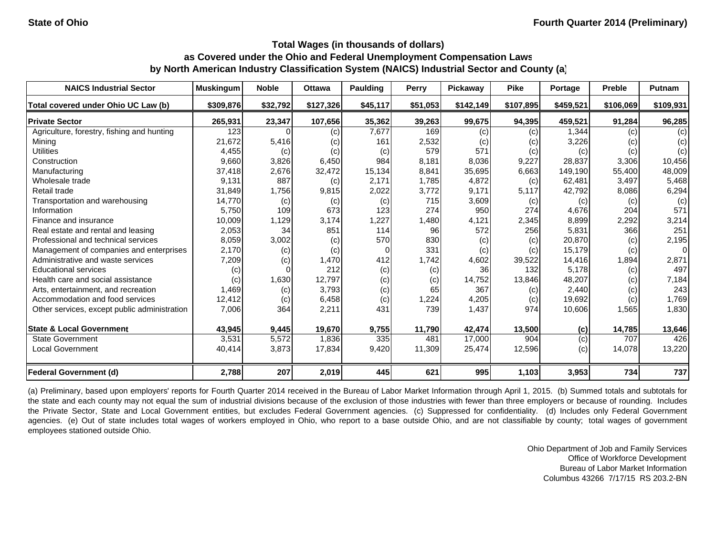| <b>NAICS Industrial Sector</b>               | <b>Muskingum</b> | <b>Noble</b> | <b>Ottawa</b> | <b>Paulding</b> | <b>Perry</b> | Pickaway  | <b>Pike</b> | Portage   | <b>Preble</b> | <b>Putnam</b> |
|----------------------------------------------|------------------|--------------|---------------|-----------------|--------------|-----------|-------------|-----------|---------------|---------------|
| Total covered under Ohio UC Law (b)          | \$309,876        | \$32,792     | \$127,326     | \$45,117        | \$51,053     | \$142,149 | \$107,895   | \$459,521 | \$106,069     | \$109,931     |
| <b>Private Sector</b>                        | 265,931          | 23,347       | 107,656       | 35,362          | 39,263       | 99,675    | 94,395      | 459,521   | 91,284        | 96,285        |
| Agriculture, forestry, fishing and hunting   | 123              |              | (c)           | 7,677           | 169          | (c)       | (c)         | 1,344     | (c)           | (c)           |
| Mining                                       | 21,672           | 5,416        | (c)           | 161             | 2,532        | (c)       | (c)         | 3,226     | (c)           | (c)           |
| <b>Utilities</b>                             | 4,455            | (c)          | (c)           | (c)             | 579          | 571       | (c)         | (c)       | (c)           | (c)           |
| Construction                                 | 9,660            | 3,826        | 6,450         | 984             | 8,181        | 8,036     | 9,227       | 28,837    | 3,306         | 10,456        |
| Manufacturing                                | 37,418           | 2,676        | 32,472        | 15,134          | 8,841        | 35,695    | 6,663       | 149,190   | 55,400        | 48,009        |
| Wholesale trade                              | 9,131            | 887          | (c)           | 2,171           | 1,785        | 4,872     | (c)         | 62,481    | 3,497         | 5,468         |
| Retail trade                                 | 31,849           | 1,756        | 9,815         | 2,022           | 3,772        | 9,171     | 5,117       | 42,792    | 8,086         | 6,294         |
| Transportation and warehousing               | 14,770           | (c)          | (c)           | (c)             | 715          | 3,609     | (c)         | (c)       | (c)           | (c)           |
| Information                                  | 5,750            | 109          | 673           | 123             | 274          | 950       | 274         | 4,676     | 204           | 571           |
| Finance and insurance                        | 10,009           | 1,129        | 3,174         | 1,227           | 1,480        | 4,121     | 2,345       | 8,899     | 2,292         | 3,214         |
| Real estate and rental and leasing           | 2,053            | 34           | 851           | 114             | 96           | 572       | 256         | 5,831     | 366           | 251           |
| Professional and technical services          | 8,059            | 3,002        | (c)           | 570             | 830          | (c)       | (c)         | 20,870    | (c)           | 2,195         |
| Management of companies and enterprises      | 2,170            | (c)          | (c)           | $\Omega$        | 331          | (c)       | (c)         | 15,179    | (c)           | $\Omega$      |
| Administrative and waste services            | 7,209            | (c)          | 1,470         | 412             | 1.742        | 4,602     | 39,522      | 14,416    | 1,894         | 2,871         |
| <b>Educational services</b>                  | (c)              |              | 212           | (c)             | (c)          | 36        | 132         | 5,178     | (c)           | 497           |
| Health care and social assistance            | (c)              | 1,630        | 12,797        | (c)             | (c)          | 14,752    | 13,846      | 48,207    | (c)           | 7,184         |
| Arts, entertainment, and recreation          | 1,469            | (c)          | 3,793         | (c)             | 65           | 367       | (c)         | 2,440     | (c)           | 243           |
| Accommodation and food services              | 12,412           | (c)          | 6,458         | (c)             | 1,224        | 4,205     | (c)         | 19,692    | (c)           | 1,769         |
| Other services, except public administration | 7,006            | 364          | 2,211         | 431             | 739          | 1,437     | 974         | 10,606    | 1,565         | 1,830         |
| <b>State &amp; Local Government</b>          | 43,945           | 9,445        | 19,670        | 9,755           | 11,790       | 42,474    | 13,500      | (c)       | 14,785        | 13,646        |
| <b>State Government</b>                      | 3,531            | 5,572        | 1,836         | 335             | 481          | 17,000    | 904         | (c)       | 707           | 426           |
| <b>Local Government</b>                      | 40,414           | 3,873        | 17,834        | 9,420           | 11,309       | 25,474    | 12,596      | (c)       | 14,078        | 13,220        |
| <b>Federal Government (d)</b>                | 2,788            | 207          | 2,019         | 445             | 621          | 995       | 1,103       | 3,953     | 734           | 737           |

(a) Preliminary, based upon employers' reports for Fourth Quarter 2014 received in the Bureau of Labor Market Information through April 1, 2015. (b) Summed totals and subtotals for the state and each county may not equal the sum of industrial divisions because of the exclusion of those industries with fewer than three employers or because of rounding. Includes the Private Sector, State and Local Government entities, but excludes Federal Government agencies. (c) Suppressed for confidentiality. (d) Includes only Federal Government agencies. (e) Out of state includes total wages of workers employed in Ohio, who report to a base outside Ohio, and are not classifiable by county; total wages of government employees stationed outside Ohio.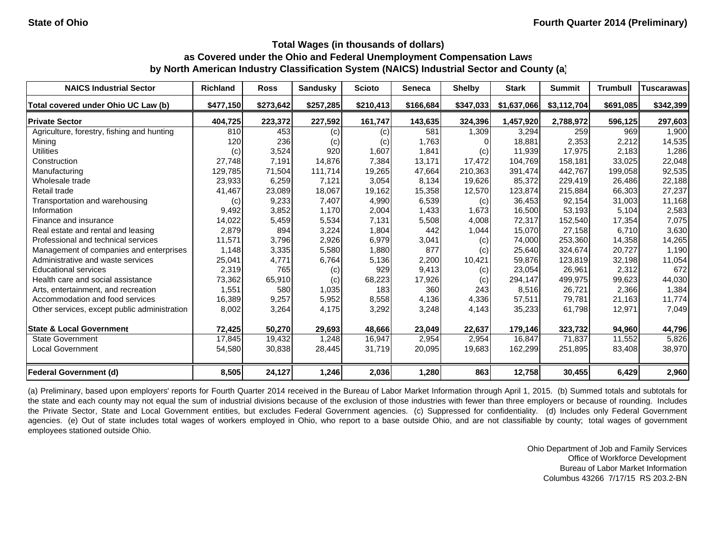| <b>NAICS Industrial Sector</b>               | <b>Richland</b> | <b>Ross</b> | <b>Sandusky</b> | <b>Scioto</b> | Seneca    | <b>Shelby</b> | <b>Stark</b> | <b>Summit</b> | <b>Trumbull</b> | <b>Tuscarawas</b> |
|----------------------------------------------|-----------------|-------------|-----------------|---------------|-----------|---------------|--------------|---------------|-----------------|-------------------|
| Total covered under Ohio UC Law (b)          | \$477,150       | \$273,642   | \$257,285       | \$210,413     | \$166,684 | \$347,033     | \$1,637,066  | \$3,112,704   | \$691,085       | \$342,399         |
| <b>Private Sector</b>                        | 404,725         | 223,372     | 227,592         | 161,747       | 143,635   | 324,396       | 1,457,920    | 2,788,972     | 596,125         | 297,603           |
| Agriculture, forestry, fishing and hunting   | 810             | 453         | (c)             | (c)           | 581       | 1,309         | 3,294        | 259           | 969             | 1,900             |
| Mining                                       | 120             | 236         | (c)             | (c)           | 1,763     |               | 18,881       | 2,353         | 2,212           | 14,535            |
| <b>Utilities</b>                             | (c)             | 3,524       | 920             | 1,607         | 1,841     | (c)           | 11,939       | 17,975        | 2,183           | 1,286             |
| Construction                                 | 27,748          | 7,191       | 14.876          | 7,384         | 13.171    | 17.472        | 104.769      | 158.181       | 33,025          | 22,048            |
| Manufacturing                                | 129,785         | 71,504      | 111,714         | 19,265        | 47,664    | 210,363       | 391,474      | 442,767       | 199,058         | 92,535            |
| Wholesale trade                              | 23,933          | 6,259       | 7,121           | 3,054         | 8,134     | 19,626        | 85,372       | 229,419       | 26,486          | 22,188            |
| Retail trade                                 | 41,467          | 23,089      | 18,067          | 19,162        | 15,358    | 12,570        | 123,874      | 215,884       | 66,303          | 27,237            |
| Transportation and warehousing               | (c)             | 9,233       | 7,407           | 4,990         | 6,539     | (c)           | 36,453       | 92,154        | 31,003          | 11,168            |
| Information                                  | 9,492           | 3,852       | 1,170           | 2,004         | 1,433     | 1,673         | 16,500       | 53,193        | 5,104           | 2,583             |
| Finance and insurance                        | 14,022          | 5,459       | 5,534           | 7,131         | 5,508     | 4,008         | 72,317       | 152,540       | 17,354          | 7,075             |
| Real estate and rental and leasing           | 2,879           | 894         | 3,224           | 1,804         | 442       | 1,044         | 15,070       | 27,158        | 6,710           | 3,630             |
| Professional and technical services          | 11,571          | 3,796       | 2,926           | 6,979         | 3,041     | (c)           | 74,000       | 253,360       | 14,358          | 14,265            |
| Management of companies and enterprises      | 1,148           | 3,335       | 5,580           | 1,880         | 877       | (c)           | 25,640       | 324.674       | 20.727          | 1,190             |
| Administrative and waste services            | 25,041          | 4,771       | 6,764           | 5,136         | 2,200     | 10,421        | 59,876       | 123,819       | 32,198          | 11,054            |
| <b>Educational services</b>                  | 2,319           | 765         | (c)             | 929           | 9,413     | (c)           | 23,054       | 26,961        | 2,312           | 672               |
| Health care and social assistance            | 73,362          | 65,910      | (c)             | 68,223        | 17,926    | (c)           | 294,147      | 499,975       | 99,623          | 44,030            |
| Arts, entertainment, and recreation          | 1,551           | 580         | 1,035           | 183           | 360       | 243           | 8,516        | 26,721        | 2,366           | 1,384             |
| Accommodation and food services              | 16,389          | 9,257       | 5,952           | 8,558         | 4,136     | 4,336         | 57,511       | 79,781        | 21,163          | 11,774            |
| Other services, except public administration | 8,002           | 3,264       | 4,175           | 3,292         | 3,248     | 4,143         | 35,233       | 61,798        | 12,971          | 7,049             |
| <b>State &amp; Local Government</b>          | 72,425          | 50,270      | 29,693          | 48,666        | 23,049    | 22,637        | 179,146      | 323,732       | 94,960          | 44,796            |
| <b>State Government</b>                      | 17,845          | 19,432      | 1,248           | 16,947        | 2,954     | 2,954         | 16,847       | 71,837        | 11,552          | 5,826             |
| <b>Local Government</b>                      | 54,580          | 30,838      | 28,445          | 31,719        | 20,095    | 19,683        | 162,299      | 251,895       | 83,408          | 38,970            |
| <b>Federal Government (d)</b>                | 8,505           | 24,127      | 1,246           | 2,036         | 1,280     | 863           | 12,758       | 30,455        | 6,429           | 2,960             |

(a) Preliminary, based upon employers' reports for Fourth Quarter 2014 received in the Bureau of Labor Market Information through April 1, 2015. (b) Summed totals and subtotals for the state and each county may not equal the sum of industrial divisions because of the exclusion of those industries with fewer than three employers or because of rounding. Includes the Private Sector, State and Local Government entities, but excludes Federal Government agencies. (c) Suppressed for confidentiality. (d) Includes only Federal Government agencies. (e) Out of state includes total wages of workers employed in Ohio, who report to a base outside Ohio, and are not classifiable by county; total wages of government employees stationed outside Ohio.